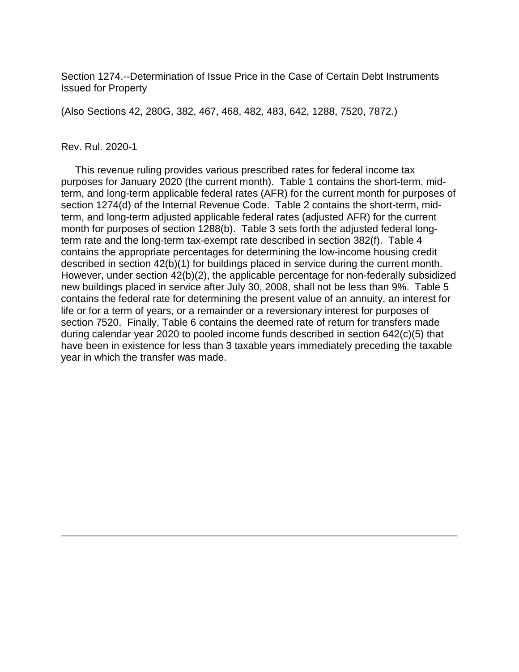Section 1274.--Determination of Issue Price in the Case of Certain Debt Instruments Issued for Property

(Also Sections 42, 280G, 382, 467, 468, 482, 483, 642, 1288, 7520, 7872.)

#### Rev. Rul. 2020-1

 This revenue ruling provides various prescribed rates for federal income tax purposes for January 2020 (the current month). Table 1 contains the short-term, midterm, and long-term applicable federal rates (AFR) for the current month for purposes of section 1274(d) of the Internal Revenue Code. Table 2 contains the short-term, midterm, and long-term adjusted applicable federal rates (adjusted AFR) for the current month for purposes of section 1288(b). Table 3 sets forth the adjusted federal longterm rate and the long-term tax-exempt rate described in section 382(f). Table 4 contains the appropriate percentages for determining the low-income housing credit described in section 42(b)(1) for buildings placed in service during the current month. However, under section 42(b)(2), the applicable percentage for non-federally subsidized new buildings placed in service after July 30, 2008, shall not be less than 9%. Table 5 contains the federal rate for determining the present value of an annuity, an interest for life or for a term of years, or a remainder or a reversionary interest for purposes of section 7520. Finally, Table 6 contains the deemed rate of return for transfers made during calendar year 2020 to pooled income funds described in section 642(c)(5) that have been in existence for less than 3 taxable years immediately preceding the taxable year in which the transfer was made.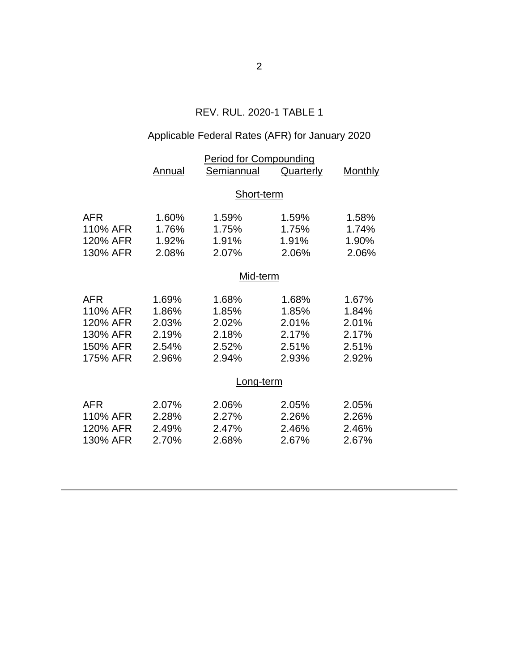# REV. RUL. 2020-1 TABLE 1

# Applicable Federal Rates (AFR) for January 2020

|            | Annual     | <b>Period for Compounding</b><br>Semiannual | <b>Quarterly</b> | <b>Monthly</b> |  |
|------------|------------|---------------------------------------------|------------------|----------------|--|
|            |            |                                             |                  |                |  |
|            | Short-term |                                             |                  |                |  |
| <b>AFR</b> | 1.60%      | 1.59%                                       | 1.59%            | 1.58%          |  |
| 110% AFR   | 1.76%      | 1.75%                                       | 1.75%            | 1.74%          |  |
| 120% AFR   | 1.92%      | 1.91%                                       | 1.91%            | 1.90%          |  |
| 130% AFR   | 2.08%      | 2.07%                                       | 2.06%            | 2.06%          |  |
|            | Mid-term   |                                             |                  |                |  |
| <b>AFR</b> | 1.69%      | 1.68%                                       | 1.68%            | 1.67%          |  |
| 110% AFR   | 1.86%      | 1.85%                                       | 1.85%            | 1.84%          |  |
| 120% AFR   | 2.03%      | 2.02%                                       | 2.01%            | 2.01%          |  |
| 130% AFR   | 2.19%      | 2.18%                                       | 2.17%            | 2.17%          |  |
| 150% AFR   | 2.54%      | 2.52%                                       | 2.51%            | 2.51%          |  |
| 175% AFR   | 2.96%      | 2.94%                                       | 2.93%            | 2.92%          |  |
|            | Long-term  |                                             |                  |                |  |
| <b>AFR</b> | 2.07%      | 2.06%                                       | 2.05%            | 2.05%          |  |
| 110% AFR   | 2.28%      | 2.27%                                       | 2.26%            | 2.26%          |  |
| 120% AFR   | 2.49%      | 2.47%                                       | 2.46%            | 2.46%          |  |
| 130% AFR   | 2.70%      | 2.68%                                       | 2.67%            | 2.67%          |  |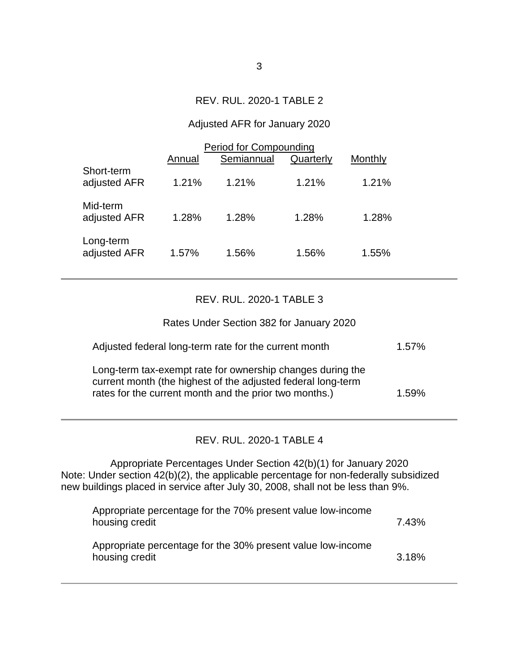# REV. RUL. 2020-1 TABLE 2

#### Adjusted AFR for January 2020

|                            | <b>Period for Compounding</b> |            |           |         |  |
|----------------------------|-------------------------------|------------|-----------|---------|--|
|                            | Annual                        | Semiannual | Quarterly | Monthly |  |
| Short-term<br>adjusted AFR | 1.21%                         | 1.21%      | 1.21%     | 1.21%   |  |
| Mid-term<br>adjusted AFR   | 1.28%                         | 1.28%      | 1.28%     | 1.28%   |  |
| Long-term<br>adjusted AFR  | 1.57%                         | 1.56%      | 1.56%     | 1.55%   |  |

# REV. RUL. 2020-1 TABLE 3

Rates Under Section 382 for January 2020

| Adjusted federal long-term rate for the current month                                                                                                                                | $1.57\%$ |
|--------------------------------------------------------------------------------------------------------------------------------------------------------------------------------------|----------|
| Long-term tax-exempt rate for ownership changes during the<br>current month (the highest of the adjusted federal long-term<br>rates for the current month and the prior two months.) | $1.59\%$ |

# REV. RUL. 2020-1 TABLE 4

Appropriate Percentages Under Section 42(b)(1) for January 2020 Note: Under section 42(b)(2), the applicable percentage for non-federally subsidized new buildings placed in service after July 30, 2008, shall not be less than 9%.

| Appropriate percentage for the 70% present value low-income<br>housing credit | 7.43% |
|-------------------------------------------------------------------------------|-------|
| Appropriate percentage for the 30% present value low-income<br>housing credit | 3.18% |